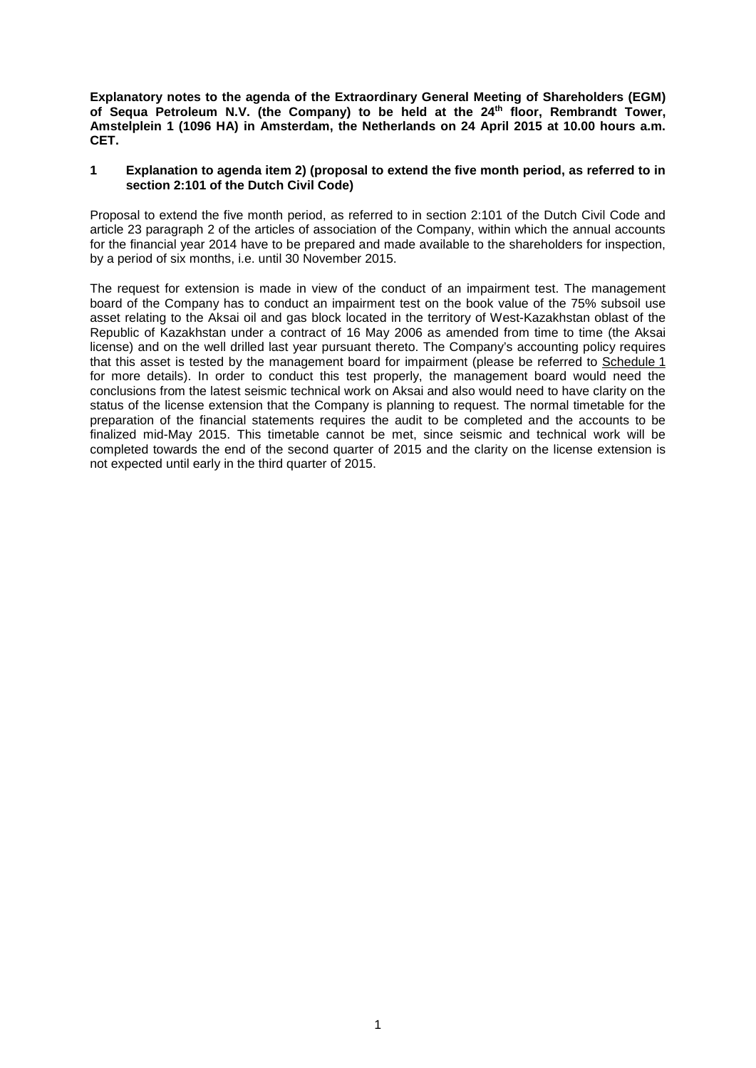**Explanatory notes to the agenda of the Extraordinary General Meeting of Shareholders (EGM)**  of Sequa Petroleum N.V. (the Company) to be held at the 24<sup>th</sup> floor, Rembrandt Tower, **Amstelplein 1 (1096 HA) in Amsterdam, the Netherlands on 24 April 2015 at 10.00 hours a.m. CET.**

## **1 Explanation to agenda item 2) (proposal to extend the five month period, as referred to in section 2:101 of the Dutch Civil Code)**

Proposal to extend the five month period, as referred to in section 2:101 of the Dutch Civil Code and article 23 paragraph 2 of the articles of association of the Company, within which the annual accounts for the financial year 2014 have to be prepared and made available to the shareholders for inspection, by a period of six months, i.e. until 30 November 2015.

The request for extension is made in view of the conduct of an impairment test. The management board of the Company has to conduct an impairment test on the book value of the 75% subsoil use asset relating to the Aksai oil and gas block located in the territory of West-Kazakhstan oblast of the Republic of Kazakhstan under a contract of 16 May 2006 as amended from time to time (the Aksai license) and on the well drilled last year pursuant thereto. The Company's accounting policy requires that this asset is tested by the management board for impairment (please be referred to [Schedule](#page-1-0) 1 for more details). In order to conduct this test properly, the management board would need the conclusions from the latest seismic technical work on Aksai and also would need to have clarity on the status of the license extension that the Company is planning to request. The normal timetable for the preparation of the financial statements requires the audit to be completed and the accounts to be finalized mid-May 2015. This timetable cannot be met, since seismic and technical work will be completed towards the end of the second quarter of 2015 and the clarity on the license extension is not expected until early in the third quarter of 2015.